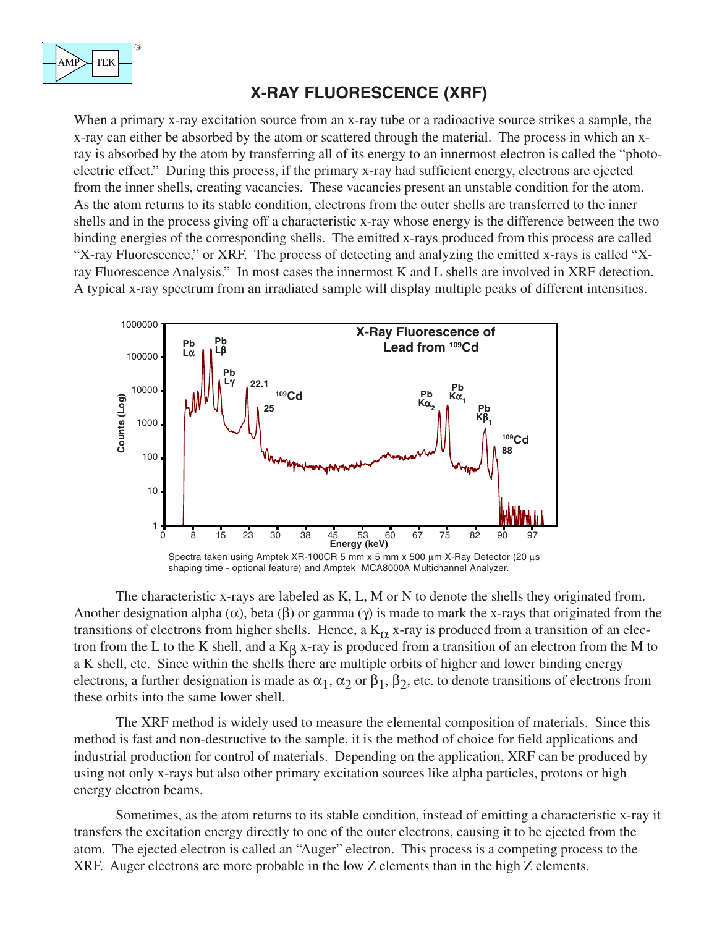

## **X-RAY FLUORESCENCE (XRF)**

When a primary x-ray excitation source from an x-ray tube or a radioactive source strikes a sample, the x-ray can either be absorbed by the atom or scattered through the material. The process in which an xray is absorbed by the atom by transferring all of its energy to an innermost electron is called the "photoelectric effect." During this process, if the primary x-ray had sufficient energy, electrons are ejected from the inner shells, creating vacancies. These vacancies present an unstable condition for the atom. As the atom returns to its stable condition, electrons from the outer shells are transferred to the inner shells and in the process giving off a characteristic x-ray whose energy is the difference between the two binding energies of the corresponding shells. The emitted x-rays produced from this process are called "X-ray Fluorescence," or XRF. The process of detecting and analyzing the emitted x-rays is called "Xray Fluorescence Analysis." In most cases the innermost K and L shells are involved in XRF detection. A typical x-ray spectrum from an irradiated sample will display multiple peaks of different intensities.



The characteristic x-rays are labeled as K, L, M or N to denote the shells they originated from. Another designation alpha  $(\alpha)$ , beta  $(\beta)$  or gamma  $(\gamma)$  is made to mark the x-rays that originated from the transitions of electrons from higher shells. Hence, a  $K_{\alpha}$  x-ray is produced from a transition of an electron from the L to the K shell, and a Kβ x-ray is produced from a transition of an electron from the M to a K shell, etc. Since within the shells there are multiple orbits of higher and lower binding energy electrons, a further designation is made as  $\alpha_1$ ,  $\alpha_2$  or  $\beta_1$ ,  $\beta_2$ , etc. to denote transitions of electrons from these orbits into the same lower shell.

The XRF method is widely used to measure the elemental composition of materials. Since this method is fast and non-destructive to the sample, it is the method of choice for field applications and industrial production for control of materials. Depending on the application, XRF can be produced by using not only x-rays but also other primary excitation sources like alpha particles, protons or high energy electron beams.

Sometimes, as the atom returns to its stable condition, instead of emitting a characteristic x-ray it transfers the excitation energy directly to one of the outer electrons, causing it to be ejected from the atom. The ejected electron is called an "Auger" electron. This process is a competing process to the XRF. Auger electrons are more probable in the low Z elements than in the high Z elements.